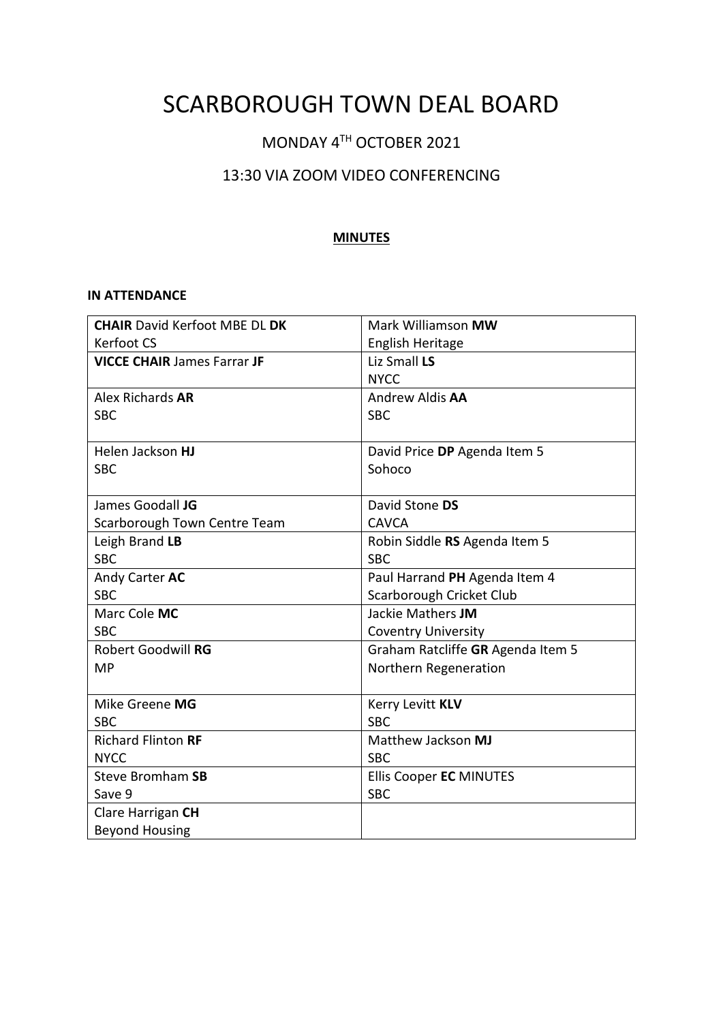# SCARBOROUGH TOWN DEAL BOARD

# MONDAY 4TH OCTOBER 2021

# 13:30 VIA ZOOM VIDEO CONFERENCING

#### **MINUTES**

#### **IN ATTENDANCE**

| <b>CHAIR David Kerfoot MBE DL DK</b> | Mark Williamson MW                |
|--------------------------------------|-----------------------------------|
| Kerfoot CS                           | English Heritage                  |
| <b>VICCE CHAIR James Farrar JF</b>   | Liz Small LS                      |
|                                      | <b>NYCC</b>                       |
| Alex Richards AR                     | Andrew Aldis AA                   |
| <b>SBC</b>                           | <b>SBC</b>                        |
|                                      |                                   |
| Helen Jackson HJ                     | David Price DP Agenda Item 5      |
| <b>SBC</b>                           | Sohoco                            |
|                                      |                                   |
| James Goodall JG                     | David Stone DS                    |
| Scarborough Town Centre Team         | <b>CAVCA</b>                      |
| Leigh Brand LB                       | Robin Siddle RS Agenda Item 5     |
| <b>SBC</b>                           | <b>SBC</b>                        |
| Andy Carter AC                       | Paul Harrand PH Agenda Item 4     |
| <b>SBC</b>                           | Scarborough Cricket Club          |
| Marc Cole MC                         | Jackie Mathers JM                 |
| <b>SBC</b>                           | <b>Coventry University</b>        |
| <b>Robert Goodwill RG</b>            | Graham Ratcliffe GR Agenda Item 5 |
| <b>MP</b>                            | Northern Regeneration             |
|                                      |                                   |
| Mike Greene MG                       | Kerry Levitt KLV                  |
| <b>SBC</b>                           | <b>SBC</b>                        |
| <b>Richard Flinton RF</b>            | Matthew Jackson MJ                |
| <b>NYCC</b>                          | <b>SBC</b>                        |
| Steve Bromham SB                     | <b>Ellis Cooper EC MINUTES</b>    |
| Save 9                               | <b>SBC</b>                        |
| Clare Harrigan CH                    |                                   |
| <b>Beyond Housing</b>                |                                   |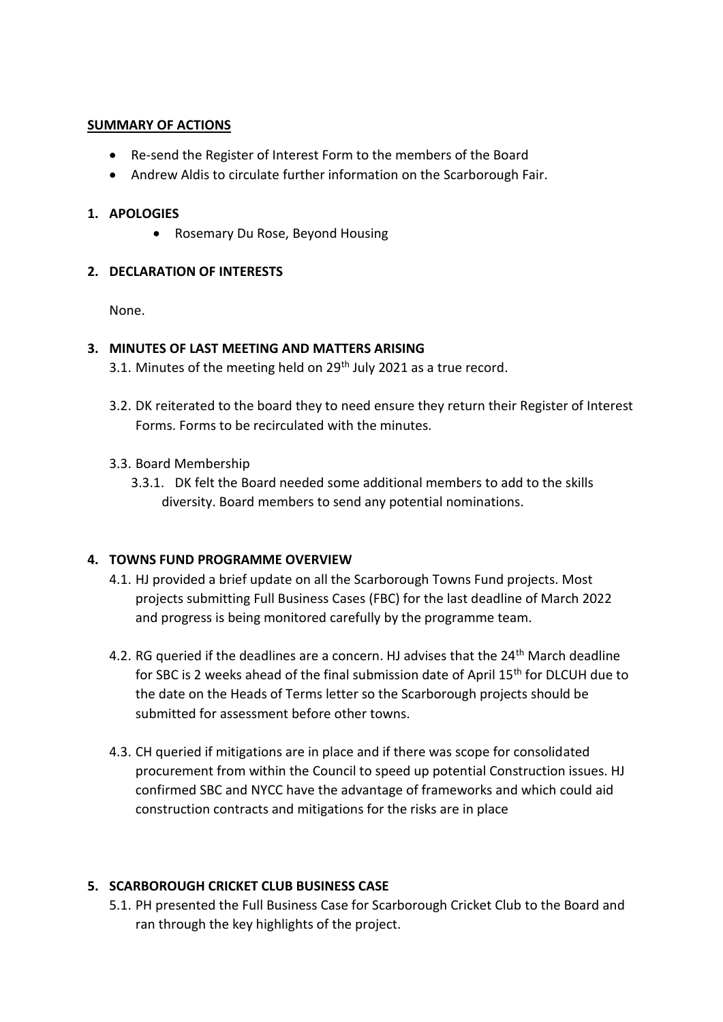#### **SUMMARY OF ACTIONS**

- Re-send the Register of Interest Form to the members of the Board
- Andrew Aldis to circulate further information on the Scarborough Fair.

#### **1. APOLOGIES**

• Rosemary Du Rose, Beyond Housing

## **2. DECLARATION OF INTERESTS**

None.

#### **3. MINUTES OF LAST MEETING AND MATTERS ARISING**

- 3.1. Minutes of the meeting held on  $29<sup>th</sup>$  July 2021 as a true record.
- 3.2. DK reiterated to the board they to need ensure they return their Register of Interest Forms. Forms to be recirculated with the minutes.
- 3.3. Board Membership
	- 3.3.1. DK felt the Board needed some additional members to add to the skills diversity. Board members to send any potential nominations.

## **4. TOWNS FUND PROGRAMME OVERVIEW**

- 4.1. HJ provided a brief update on all the Scarborough Towns Fund projects. Most projects submitting Full Business Cases (FBC) for the last deadline of March 2022 and progress is being monitored carefully by the programme team.
- 4.2. RG queried if the deadlines are a concern. HJ advises that the 24<sup>th</sup> March deadline for SBC is 2 weeks ahead of the final submission date of April 15th for DLCUH due to the date on the Heads of Terms letter so the Scarborough projects should be submitted for assessment before other towns.
- 4.3. CH queried if mitigations are in place and if there was scope for consolidated procurement from within the Council to speed up potential Construction issues. HJ confirmed SBC and NYCC have the advantage of frameworks and which could aid construction contracts and mitigations for the risks are in place

## **5. SCARBOROUGH CRICKET CLUB BUSINESS CASE**

5.1. PH presented the Full Business Case for Scarborough Cricket Club to the Board and ran through the key highlights of the project.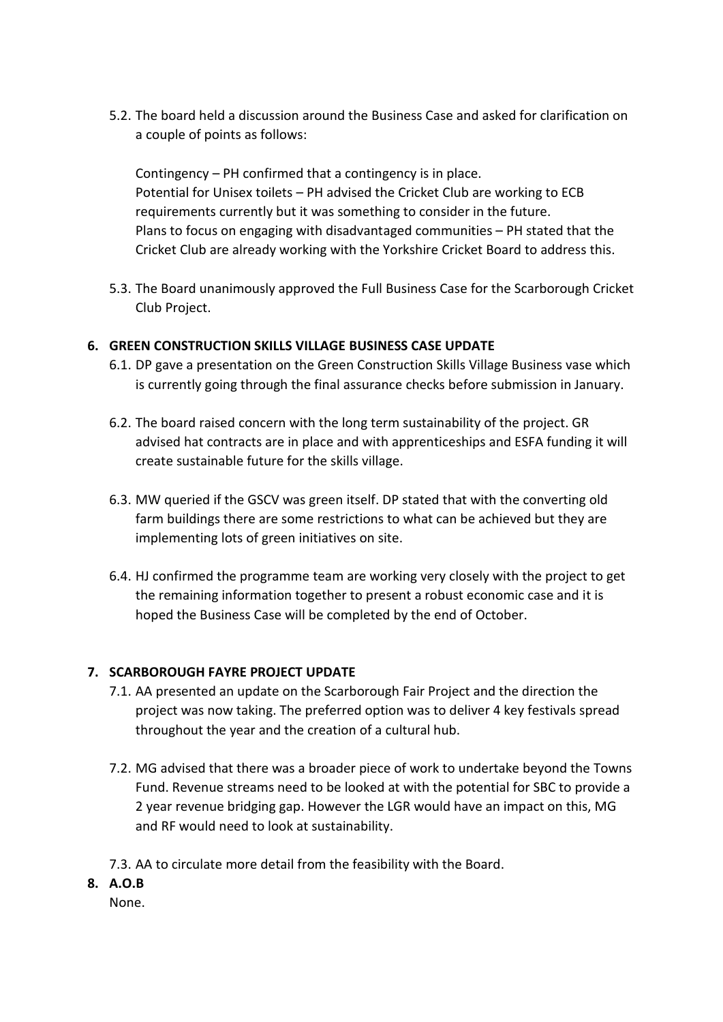5.2. The board held a discussion around the Business Case and asked for clarification on a couple of points as follows:

Contingency – PH confirmed that a contingency is in place. Potential for Unisex toilets – PH advised the Cricket Club are working to ECB requirements currently but it was something to consider in the future. Plans to focus on engaging with disadvantaged communities – PH stated that the Cricket Club are already working with the Yorkshire Cricket Board to address this.

5.3. The Board unanimously approved the Full Business Case for the Scarborough Cricket Club Project.

#### **6. GREEN CONSTRUCTION SKILLS VILLAGE BUSINESS CASE UPDATE**

- 6.1. DP gave a presentation on the Green Construction Skills Village Business vase which is currently going through the final assurance checks before submission in January.
- 6.2. The board raised concern with the long term sustainability of the project. GR advised hat contracts are in place and with apprenticeships and ESFA funding it will create sustainable future for the skills village.
- 6.3. MW queried if the GSCV was green itself. DP stated that with the converting old farm buildings there are some restrictions to what can be achieved but they are implementing lots of green initiatives on site.
- 6.4. HJ confirmed the programme team are working very closely with the project to get the remaining information together to present a robust economic case and it is hoped the Business Case will be completed by the end of October.

#### **7. SCARBOROUGH FAYRE PROJECT UPDATE**

- 7.1. AA presented an update on the Scarborough Fair Project and the direction the project was now taking. The preferred option was to deliver 4 key festivals spread throughout the year and the creation of a cultural hub.
- 7.2. MG advised that there was a broader piece of work to undertake beyond the Towns Fund. Revenue streams need to be looked at with the potential for SBC to provide a 2 year revenue bridging gap. However the LGR would have an impact on this, MG and RF would need to look at sustainability.
- 7.3. AA to circulate more detail from the feasibility with the Board.
- **8. A.O.B**

None.